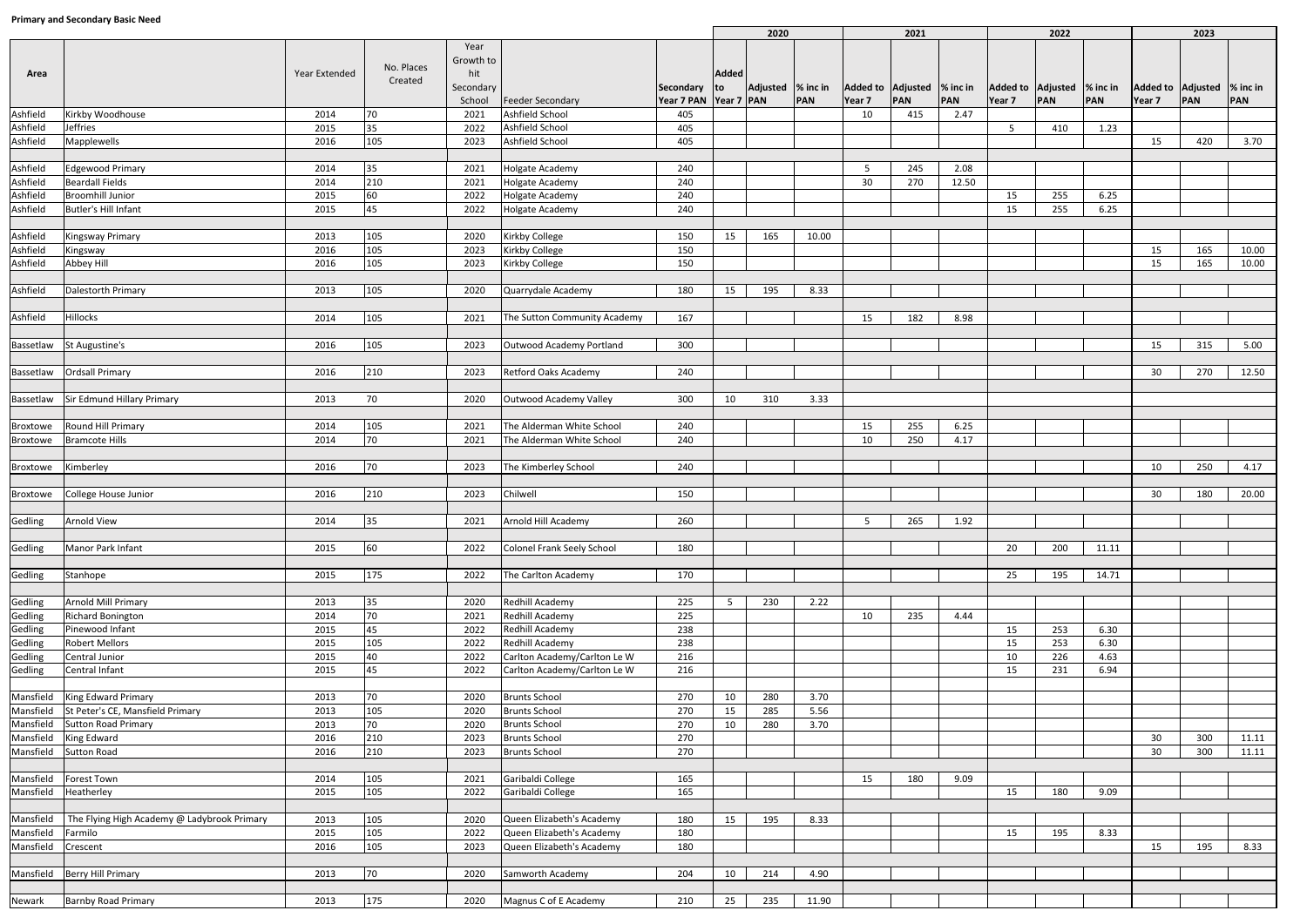| Thinking and Secondary Basic Need |                                                         |               |                       |                          |                                              |                              | 2020         |                    |              | 2021   |                             | 2022        |                             |     | 2023  |                             |     |       |
|-----------------------------------|---------------------------------------------------------|---------------|-----------------------|--------------------------|----------------------------------------------|------------------------------|--------------|--------------------|--------------|--------|-----------------------------|-------------|-----------------------------|-----|-------|-----------------------------|-----|-------|
| Area                              |                                                         | Year Extended | No. Places<br>Created | Year<br>Growth to<br>hit |                                              |                              | <b>Added</b> |                    |              |        |                             |             |                             |     |       |                             |     |       |
|                                   |                                                         |               |                       | Secondary                |                                              | Secondary                    | lto l        | Adjusted  % inc in |              |        | Added to Adjusted \% inc in |             | Added to Adjusted  % inc in |     |       | Added to Adjusted  % inc in |     |       |
| Ashfield                          | Kirkby Woodhouse                                        | 2014          | 70                    | School<br>2021           | Feeder Secondary<br>Ashfield School          | Year 7 PAN Year 7 PAN<br>405 |              |                    | PAN          | Year 7 | PAN<br>415                  | PAN<br>2.47 | Year 7                      | PAN | PAN   | Year 7                      | PAN | PAN   |
| Ashfield                          | Jeffries                                                | 2015          | 35                    | 2022                     | Ashfield School                              | 405                          |              |                    |              | 10     |                             |             | -5                          | 410 | 1.23  |                             |     |       |
| Ashfield                          | Mapplewells                                             | 2016          | 105                   | 2023                     | Ashfield School                              | 405                          |              |                    |              |        |                             |             |                             |     |       | 15                          | 420 | 3.70  |
|                                   |                                                         |               |                       |                          |                                              |                              |              |                    |              |        |                             |             |                             |     |       |                             |     |       |
| Ashfield                          | <b>Edgewood Primary</b>                                 | 2014          | 35                    | 2021                     | <b>Holgate Academy</b>                       | 240                          |              |                    |              | 5      | 245                         | 2.08        |                             |     |       |                             |     |       |
| Ashfield                          | <b>Beardall Fields</b>                                  | 2014          | 210                   | 2021                     | <b>Holgate Academy</b>                       | 240                          |              |                    |              | 30     | 270                         | 12.50       |                             |     |       |                             |     |       |
| Ashfield                          | <b>Broomhill Junior</b>                                 | 2015          | 60                    | 2022                     | <b>Holgate Academy</b>                       | 240                          |              |                    |              |        |                             |             | 15                          | 255 | 6.25  |                             |     |       |
| Ashfield                          | <b>Butler's Hill Infant</b>                             | 2015          | 45                    | 2022                     | <b>Holgate Academy</b>                       | 240                          |              |                    |              |        |                             |             | 15                          | 255 | 6.25  |                             |     |       |
|                                   |                                                         |               |                       |                          |                                              |                              |              |                    |              |        |                             |             |                             |     |       |                             |     |       |
| Ashfield                          | <b>Kingsway Primary</b>                                 | 2013          | 105                   | 2020                     | <b>Kirkby College</b>                        | 150                          | 15           | 165                | 10.00        |        |                             |             |                             |     |       |                             |     |       |
| Ashfield                          | Kingsway                                                | 2016          | 105                   | 2023                     | <b>Kirkby College</b>                        | 150                          |              |                    |              |        |                             |             |                             |     |       | 15                          | 165 | 10.00 |
| Ashfield                          | Abbey Hill                                              | 2016          | 105                   | 2023                     | <b>Kirkby College</b>                        | 150                          |              |                    |              |        |                             |             |                             |     |       | 15                          | 165 | 10.00 |
| Ashfield                          | Dalestorth Primary                                      | 2013          | 105                   | 2020                     | Quarrydale Academy                           | 180                          | 15           | 195                | 8.33         |        |                             |             |                             |     |       |                             |     |       |
|                                   |                                                         |               |                       |                          |                                              |                              |              |                    |              |        |                             |             |                             |     |       |                             |     |       |
| Ashfield                          | <b>Hillocks</b>                                         | 2014          | 105                   | 2021                     | The Sutton Community Academy                 | 167                          |              |                    |              | 15     | 182                         | 8.98        |                             |     |       |                             |     |       |
|                                   |                                                         |               |                       |                          |                                              |                              |              |                    |              |        |                             |             |                             |     |       |                             |     |       |
|                                   | Bassetlaw St Augustine's                                | 2016          | 105                   | 2023                     | Outwood Academy Portland                     | 300                          |              |                    |              |        |                             |             |                             |     |       | 15                          | 315 | 5.00  |
|                                   | Bassetlaw   Ordsall Primary                             | 2016          | 210                   | 2023                     | <b>Retford Oaks Academy</b>                  | 240                          |              |                    |              |        |                             |             |                             |     |       | 30                          | 270 | 12.50 |
|                                   |                                                         |               |                       |                          |                                              |                              |              |                    |              |        |                             |             |                             |     |       |                             |     |       |
|                                   | Bassetlaw Sir Edmund Hillary Primary                    | 2013          | 70                    | 2020                     | <b>Outwood Academy Valley</b>                | 300                          | 10           | 310                | 3.33         |        |                             |             |                             |     |       |                             |     |       |
|                                   |                                                         |               |                       |                          |                                              |                              |              |                    |              |        |                             |             |                             |     |       |                             |     |       |
| Broxtowe                          | Round Hill Primary                                      | 2014          | 105                   | 2021                     | The Alderman White School                    | 240                          |              |                    |              | 15     | 255                         | 6.25        |                             |     |       |                             |     |       |
| Broxtowe                          | <b>Bramcote Hills</b>                                   | 2014          | 70                    | 2021                     | The Alderman White School                    | 240                          |              |                    |              | 10     | 250                         | 4.17        |                             |     |       |                             |     |       |
| Broxtowe                          | Kimberley                                               | 2016          | 70                    | 2023                     | The Kimberley School                         | 240                          |              |                    |              |        |                             |             |                             |     |       | 10                          | 250 | 4.17  |
|                                   |                                                         |               |                       |                          |                                              |                              |              |                    |              |        |                             |             |                             |     |       |                             |     |       |
| Broxtowe                          | College House Junior                                    | 2016          | 210                   | 2023                     | Chilwell                                     | 150                          |              |                    |              |        |                             |             |                             |     |       | 30                          | 180 | 20.00 |
| Gedling                           | <b>Arnold View</b>                                      | 2014          | 35                    | 2021                     | Arnold Hill Academy                          | 260                          |              |                    |              | 5      | 265                         | 1.92        |                             |     |       |                             |     |       |
|                                   |                                                         |               |                       |                          |                                              |                              |              |                    |              |        |                             |             |                             |     |       |                             |     |       |
| Gedling                           | Manor Park Infant                                       | 2015          | 60                    | 2022                     | Colonel Frank Seely School                   | 180                          |              |                    |              |        |                             |             | 20                          | 200 | 11.11 |                             |     |       |
| Gedling                           | Stanhope                                                | 2015          | 175                   | 2022                     | The Carlton Academy                          | 170                          |              |                    |              |        |                             |             | 25                          | 195 | 14.71 |                             |     |       |
|                                   |                                                         |               |                       |                          |                                              |                              |              |                    |              |        |                             |             |                             |     |       |                             |     |       |
| Gedling                           | Arnold Mill Primary                                     | 2013          | 35                    | 2020                     | Redhill Academy                              | 225                          | - 5          | 230                | 2.22         |        |                             |             |                             |     |       |                             |     |       |
| Gedling                           | Richard Bonington                                       | 2014          | 70                    | 2021                     | Redhill Academy                              | 225                          |              |                    |              | 10     | 235                         | 4.44        |                             |     |       |                             |     |       |
| Gedling                           | Pinewood Infant                                         | 2015          | 45                    | 2022                     | Redhill Academy                              | 238                          |              |                    |              |        |                             |             | 15                          | 253 | 6.30  |                             |     |       |
| Gedling                           | <b>Robert Mellors</b>                                   | 2015          | 105                   | 2022                     | Redhill Academy                              | 238                          |              |                    |              |        |                             |             | 15                          | 253 | 6.30  |                             |     |       |
| Gedling                           | Central Junior                                          | 2015          | 40                    | 2022                     | Carlton Academy/Carlton Le W                 | 216                          |              |                    |              |        |                             |             | 10                          | 226 | 4.63  |                             |     |       |
| Gedling                           | Central Infant                                          | 2015          | 45                    | 2022                     | Carlton Academy/Carlton Le W                 | 216                          |              |                    |              |        |                             |             | 15                          | 231 | 6.94  |                             |     |       |
|                                   |                                                         |               |                       |                          |                                              |                              |              |                    |              |        |                             |             |                             |     |       |                             |     |       |
| Mansfield                         | King Edward Primary<br>St Peter's CE, Mansfield Primary | 2013          | 70                    | 2020                     | <b>Brunts School</b><br><b>Brunts School</b> | 270                          | 10           | 280                | 3.70         |        |                             |             |                             |     |       |                             |     |       |
| Mansfield<br>Mansfield            | <b>Sutton Road Primary</b>                              | 2013<br>2013  | 105<br>70             | 2020<br>2020             | <b>Brunts School</b>                         | 270<br>270                   | 15<br>10     | 285<br>280         | 5.56<br>3.70 |        |                             |             |                             |     |       |                             |     |       |
| Mansfield                         | King Edward                                             | 2016          | 210                   | 2023                     | <b>Brunts School</b>                         | 270                          |              |                    |              |        |                             |             |                             |     |       | 30                          | 300 | 11.11 |
| Mansfield                         | <b>Sutton Road</b>                                      | 2016          | 210                   | 2023                     | <b>Brunts School</b>                         | 270                          |              |                    |              |        |                             |             |                             |     |       | 30                          | 300 | 11.11 |
|                                   |                                                         |               |                       |                          |                                              |                              |              |                    |              |        |                             |             |                             |     |       |                             |     |       |
| Mansfield                         | <b>Forest Town</b>                                      | 2014          | 105                   | 2021                     | Garibaldi College                            | 165                          |              |                    |              | 15     | 180                         | 9.09        |                             |     |       |                             |     |       |
| Mansfield                         | Heatherley                                              | 2015          | 105                   | 2022                     | Garibaldi College                            | 165                          |              |                    |              |        |                             |             | 15                          | 180 | 9.09  |                             |     |       |
| Mansfield                         | The Flying High Academy @ Ladybrook Primary             | 2013          | 105                   | 2020                     | Queen Elizabeth's Academy                    | 180                          | 15           | 195                | 8.33         |        |                             |             |                             |     |       |                             |     |       |
| Mansfield Farmilo                 |                                                         | 2015          | 105                   | 2022                     | Queen Elizabeth's Academy                    | 180                          |              |                    |              |        |                             |             | 15                          | 195 | 8.33  |                             |     |       |
| Mansfield                         | Crescent                                                | 2016          | 105                   | 2023                     | Queen Elizabeth's Academy                    | 180                          |              |                    |              |        |                             |             |                             |     |       | 15                          | 195 | 8.33  |
|                                   |                                                         |               |                       |                          |                                              |                              |              |                    |              |        |                             |             |                             |     |       |                             |     |       |
|                                   | Mansfield Berry Hill Primary                            | 2013          | 70                    | 2020                     | Samworth Academy                             | 204                          | 10           | 214                | 4.90         |        |                             |             |                             |     |       |                             |     |       |
|                                   |                                                         |               |                       |                          |                                              |                              |              |                    |              |        |                             |             |                             |     |       |                             |     |       |
| Newark                            | <b>Barnby Road Primary</b>                              | 2013          | 175                   | 2020                     | Magnus C of E Academy                        | 210                          | 25           | 235                | 11.90        |        |                             |             |                             |     |       |                             |     |       |